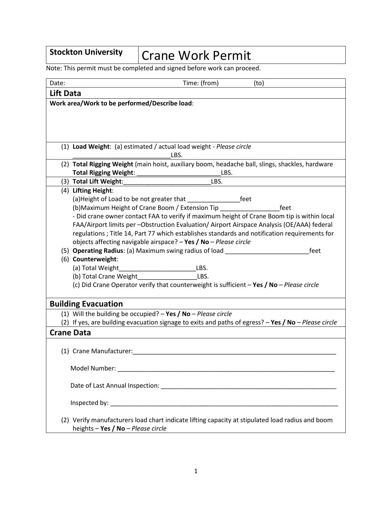# **Stockton University | Crane Work Permit**

Note: This permit must be completed and signed before work can proceed.

| Date:                                                               | Time: (from)<br>(to)                                                                                 |  |  |
|---------------------------------------------------------------------|------------------------------------------------------------------------------------------------------|--|--|
| Lift Data                                                           |                                                                                                      |  |  |
| Work area/Work to be performed/Describe load:                       |                                                                                                      |  |  |
|                                                                     |                                                                                                      |  |  |
|                                                                     |                                                                                                      |  |  |
|                                                                     |                                                                                                      |  |  |
|                                                                     |                                                                                                      |  |  |
| (1) Load Weight: (a) estimated / actual load weight - Please circle |                                                                                                      |  |  |
| LBS.                                                                |                                                                                                      |  |  |
|                                                                     | (2) Total Rigging Weight (main hoist, auxiliary boom, headache ball, slings, shackles, hardware      |  |  |
|                                                                     | <b>Total Rigging Weight:</b><br>_____________________________________LBS.<br>LBS.                    |  |  |
|                                                                     | (3) Total Lift Weight:                                                                               |  |  |
|                                                                     | (4) Lifting Height:                                                                                  |  |  |
|                                                                     | (b) Maximum Height of Crane Boom / Extension Tip<br>feet                                             |  |  |
|                                                                     | - Did crane owner contact FAA to verify if maximum height of Crane Boom tip is within local          |  |  |
|                                                                     | FAA/Airport limits per -Obstruction Evaluation/ Airport Airspace Analysis (OE/AAA) federal           |  |  |
|                                                                     | regulations; Title 14, Part 77 which establishes standards and notification requirements for         |  |  |
|                                                                     | objects affecting navigable airspace? $-$ Yes / No $-$ Please circle                                 |  |  |
|                                                                     | (5) Operating Radius: (a) Maximum swing radius of load<br>feet                                       |  |  |
|                                                                     | (6) Counterweight:                                                                                   |  |  |
|                                                                     | (a) Total Weight___________________________LBS.                                                      |  |  |
|                                                                     | (b) Total Crane Weight<br>LBS.                                                                       |  |  |
|                                                                     | (c) Did Crane Operator verify that counterweight is sufficient $-$ Yes / No $-$ Please circle        |  |  |
|                                                                     |                                                                                                      |  |  |
|                                                                     | <b>Building Evacuation</b>                                                                           |  |  |
|                                                                     | (1) Will the building be occupied? $-$ Yes / No - Please circle                                      |  |  |
|                                                                     | (2) If yes, are building evacuation signage to exits and paths of egress? - Yes / No - Please circle |  |  |
| <b>Crane Data</b>                                                   |                                                                                                      |  |  |
|                                                                     |                                                                                                      |  |  |
|                                                                     | (1) Crane Manufacturer:                                                                              |  |  |
|                                                                     |                                                                                                      |  |  |
|                                                                     |                                                                                                      |  |  |
|                                                                     |                                                                                                      |  |  |
|                                                                     |                                                                                                      |  |  |
|                                                                     |                                                                                                      |  |  |
|                                                                     |                                                                                                      |  |  |
|                                                                     |                                                                                                      |  |  |
|                                                                     | (2) Verify manufacturers load chart indicate lifting capacity at stipulated load radius and boom     |  |  |
|                                                                     | heights - Yes / No - Please circle                                                                   |  |  |